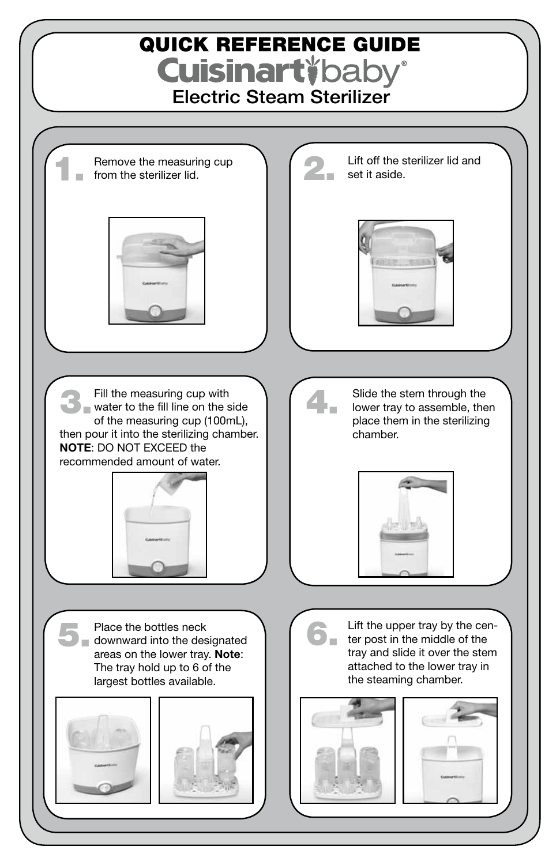